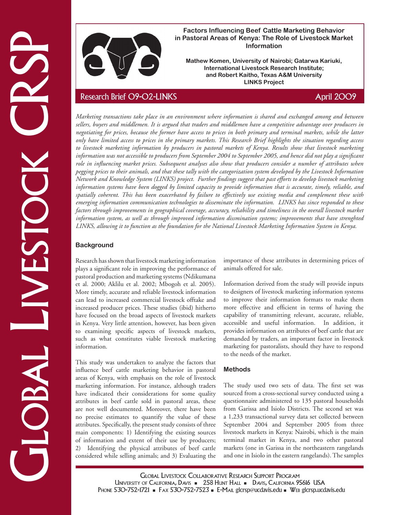

**Factors Influencing Beef Cattle Marketing Behavior in Pastoral Areas of Kenya: The Role of Livestock Market Information**

**Mathew Komen, University of Nairobi; Gatarwa Kariuki, International Livestock Research Institute; and Robert Kaitho, Texas A&M University LINKS Project**

In Pastorial Areas of Kenya: The Relia of Clare and Newton Reliability of the control and Newton Reliability of Newton Reliability (State Areas CRS) and Newton Reliability (State Area CRS) and Newton Reliability (State Ar *Marketing transactions take place in an environment where information is shared and exchanged among and between sellers, buyers and middlemen. It is argued that traders and middlemen have a competitive advantage over producers in negotiating for prices, because the former have access to prices in both primary and terminal markets, while the latter only have limited access to prices in the primary markets. This Research Brief highlights the situation regarding access*  to livestock marketing information by producers in pastoral markets of Kenya. Results show that livestock marketing *information was not accessible to producers from September 2004 to September 2005, and hence did not play a significant role in influencing market prices. Subsequent analyses also show that producers consider a number of attributes when pegging prices to their animals, and that these tally with the categorization system developed by the Livestock Information Network and Knowledge System (LINKS) project. Further findings suggest that past efforts to develop livestock marketing information systems have been dogged by limited capacity to provide information that is accurate, timely, reliable, and spatially coherent. This has been exacerbated by failure to effectively use existing media and complement these with emerging information communication technologies to disseminate the information. LINKS has since responded to these factors through improvements in geographical coverage, accuracy, reliability and timeliness in the overall livestock market information system, as well as through improved information dissmination systems; improvements that have strenghted LINKS, allowing it to function as the foundation for the National Livestock Marketing Information System in Kenya.* 

## **Background**

Research has shown that livestock marketing information plays a significant role in improving the performance of pastoral production and marketing systems (Ndikumana et al. 2000; Aklilu et al. 2002; Mbogoh et al. 2005). More timely, accurate and reliable livestock information can lead to increased commercial livestock offtake and increased producer prices. These studies (ibid) hitherto have focused on the broad aspects of livestock markets in Kenya. Very little attention, however, has been given to examining specific aspects of livestock markets, such as what constitutes viable livestock marketing information.

This study was undertaken to analyze the factors that influence beef cattle marketing behavior in pastoral areas of Kenya, with emphasis on the role of livestock marketing information. For instance, although traders have indicated their considerations for some quality attributes in beef cattle sold in pastoral areas, these are not well documented. Moreover, there have been no precise estimates to quantify the value of these attributes. Specifically, the present study consists of three main components: 1) Identifying the existing sources of information and extent of their use by producers; Identifying the physical attributes of beef cattle considered while selling animals; and 3) Evaluating the importance of these attributes in determining prices of animals offered for sale.

Information derived from the study will provide inputs to designers of livestock marketing information systems to improve their information formats to make them more effective and efficient in terms of having the capability of transmitting relevant, accurate, reliable, accessible and useful information. In addition, it provides information on attributes of beef cattle that are demanded by traders, an important factor in livestock marketing for pastoralists, should they have to respond to the needs of the market.

## **Methods**

The study used two sets of data. The first set was sourced from a cross-sectional survey conducted using a questionnaire administered to 135 pastoral households from Garissa and Isiolo Districts. The second set was a 1,233 transactional survey data set collected between September 2004 and September 2005 from three livestock markets in Kenya: Nairobi, which is the main terminal market in Kenya, and two other pastoral markets (one in Garissa in the northeastern rangelands and one in Isiolo in the eastern rangelands). The samples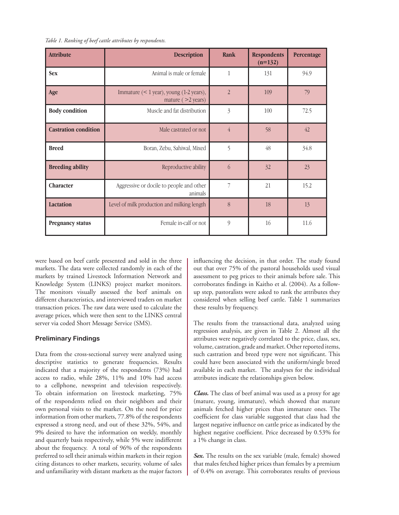|  |  | Table 1. Ranking of beef cattle attributes by respondents. |  |  |  |
|--|--|------------------------------------------------------------|--|--|--|
|--|--|------------------------------------------------------------|--|--|--|

| <b>Attribute</b>            | <b>Description</b>                                                  | <b>Rank</b>    | <b>Respondents</b><br>$(n=132)$ | Percentage |
|-----------------------------|---------------------------------------------------------------------|----------------|---------------------------------|------------|
| <b>Sex</b>                  | Animal is male or female                                            | 1              | 131                             | 94.9       |
| Age                         | Immature $(< 1$ year), young $(1-2$ years),<br>mature $($ >2 years) | $\overline{2}$ | 109                             | 79         |
| <b>Body condition</b>       | Muscle and fat distribution                                         | $\overline{3}$ | 100                             | 72.5       |
| <b>Castration condition</b> | Male castrated or not                                               | $\overline{4}$ | 58                              | 42         |
| <b>Breed</b>                | Boran, Zebu, Sahiwal, Mixed                                         | 5              | 48                              | 34.8       |
| <b>Breeding ability</b>     | Reproductive ability                                                | 6              | 32                              | 23         |
| Character                   | Aggressive or docile to people and other<br>animals                 | $\overline{7}$ | 21                              | 15.2       |
| <b>Lactation</b>            | Level of milk production and milking length                         | 8              | 18                              | 13         |
| <b>Pregnancy status</b>     | Female in-calf or not                                               | $\overline{9}$ | 16                              | 11.6       |

were based on beef cattle presented and sold in the three markets. The data were collected randomly in each of the markets by trained Livestock Information Network and Knowledge System (LINKS) project market monitors. The monitors visually assessed the beef animals on different characteristics, and interviewed traders on market transaction prices. The raw data were used to calculate the average prices, which were then sent to the LINKS central server via coded Short Message Service (SMS).

#### **Preliminary Findings**

Data from the cross-sectional survey were analyzed using descriptive statistics to generate frequencies. Results indicated that a majority of the respondents (73%) had access to radio, while 28%, 11% and 10% had access to a cellphone, newsprint and television respectively. To obtain information on livestock marketing, 75% of the respondents relied on their neighbors and their own personal visits to the market. On the need for price information from other markets, 77.8% of the respondents expressed a strong need, and out of these 32%, 54%, and 9% desired to have the information on weekly, monthly and quarterly basis respectively, while 5% were indifferent about the frequency. A total of 96% of the respondents preferred to sell their animals within markets in their region citing distances to other markets, security, volume of sales and unfamiliarity with distant markets as the major factors

influencing the decision, in that order. The study found out that over 75% of the pastoral households used visual assessment to peg prices to their animals before sale. This corroborates findings in Kaitho et al. (2004). As a followup step, pastoralists were asked to rank the attributes they considered when selling beef cattle. Table 1 summarizes these results by frequency.

The results from the transactional data, analyzed using regression analysis, are given in Table 2. Almost all the attributes were negatively correlated to the price, class, sex, volume, castration, grade and market. Other reported items, such castration and breed type were not significant. This could have been associated with the uniform/single breed available in each market. The analyses for the individual attributes indicate the relationships given below.

*Class.* The class of beef animal was used as a proxy for age (mature, young, immature), which showed that mature animals fetched higher prices than immature ones. The coefficient for class variable suggested that class had the largest negative influence on cattle price as indicated by the highest negative coefficient. Price decreased by 0.53% for a 1% change in class.

*Sex.* The results on the sex variable (male, female) showed that males fetched higher prices than females by a premium of 0.4% on average. This corroborates results of previous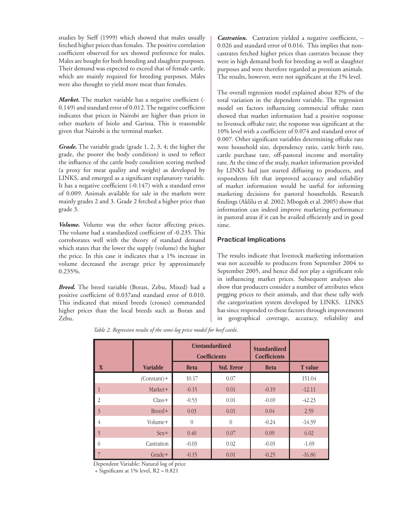studies by Sieff (1999) which showed that males usually fetched higher prices than females. The positive correlation coefficient observed for sex showed preference for males. Males are bought for both breeding and slaughter purposes. Their demand was expected to exceed that of female cattle, which are mainly required for breeding purposes. Males were also thought to yield more meat than females.

*Market.* The market variable has a negative coefficient (- 0.149) and standard error of 0.012. The negative coefficient indicates that prices in Nairobi are higher than prices in other markets of Isiolo and Garissa. This is reasonable given that Nairobi is the terminal market.

*Grade.* The variable grade (grade 1, 2, 3, 4; the higher the grade, the poorer the body condition) is used to reflect the influence of the cattle body condition scoring method (a proxy for meat quality and weight) as developed by LINKS, and emerged as a significant explanatory variable. It has a negative coefficient (-0.147) with a standard error of 0.009. Animals available for sale in the markets were mainly grades 2 and 3. Grade 2 fetched a higher price than grade 3.

*Volume.* Volume was the other factor affecting prices. The volume had a standardized coefficient of -0.235. This corroborates well with the theory of standard demand which states that the lower the supply (volume) the higher the price. In this case it indicates that a 1% increase in volume decreased the average price by approximately 0.235%.

*Breed.* The breed variable (Boran, Zebu, Mixed) had a positive coefficient of 0.037and standard error of 0.010. This indicated that mixed breeds (crosses) commanded higher prices than the local breeds such as Boran and Zebu.

*Castration.* Castration yielded a negative coefficient, – 0.026 and standard error of 0.016. This implies that noncastrates fetched higher prices than castrates because they were in high demand both for breeding as well as slaughter purposes and were therefore regarded as premium animals. The results, however, were not significant at the 1% level.

The overall regression model explained about 82% of the total variation in the dependent variable. The regression model on factors influencing commercial offtake rates showed that market information had a positive response to livestock offtake rate; the response was significant at the 10% level with a coefficient of 0.074 and standard error of 0.007. Other significant variables determining offtake rate were household size, dependency ratio, cattle birth rate, cattle purchase rate, off-pastoral income and mortality rate. At the time of the study, market information provided by LINKS had just started diffusing to producers, and respondents felt that improved accuracy and reliability of market information would be useful for informing marketing decisions for pastoral households. Research findings (Aklilu et al. 2002; Mbogoh et al. 2005) show that information can indeed improve marketing performance in pastoral areas if it can be availed efficiently and in good time.

## **Practical Implications**

The results indicate that livestock marketing information was not accessible to producers from September 2004 to September 2005, and hence did not play a significant role in influencing market prices. Subsequent analyses also show that producers consider a number of attributes when pegging prices to their animals, and that these tally with the categorization system developed by LINKS. LINKS has since responded to these factors through improvements in geographical coverage, accuracy, reliability and

*Table 2. Regression results of the semi-log price model for beef cattle.*

|                |                 | <b>Unstandardized</b><br><b>Coefficients</b> |                   | <b>Standardized</b><br><b>Coefficients</b> |                |
|----------------|-----------------|----------------------------------------------|-------------------|--------------------------------------------|----------------|
| X              | <b>Variable</b> | <b>Beta</b>                                  | <b>Std. Error</b> | <b>Beta</b>                                | <b>T</b> value |
|                | $(Constant) +$  | 10.17                                        | 0.07              |                                            | 151.04         |
| $\mathbf{1}$   | Market+         | $-0.15$                                      | 0.01              | $-0.19$                                    | $-12.11$       |
| 2              | $Class+$        | $-0.53$                                      | 0.01              | $-0.69$                                    | $-42.23$       |
| $\overline{3}$ | Breed+          | 0.03                                         | 0.01              | 0.04                                       | 2.59           |
| 4              | Volume+         | $\theta$                                     | $\theta$          | $-0.24$                                    | $-14.39$       |
| 5              | $Sex+$          | 0.40                                         | 0.07              | 0.09                                       | 6.02           |
| 6              | Castration      | $-0.03$                                      | 0.02              | $-0.03$                                    | $-1.69$        |
|                | Grade+          | $-0.15$                                      | 0.01              | $-0.25$                                    | $-16.86$       |

Dependent Variable: Natural log of price

+ Significant at 1% level, R2 = 0.821